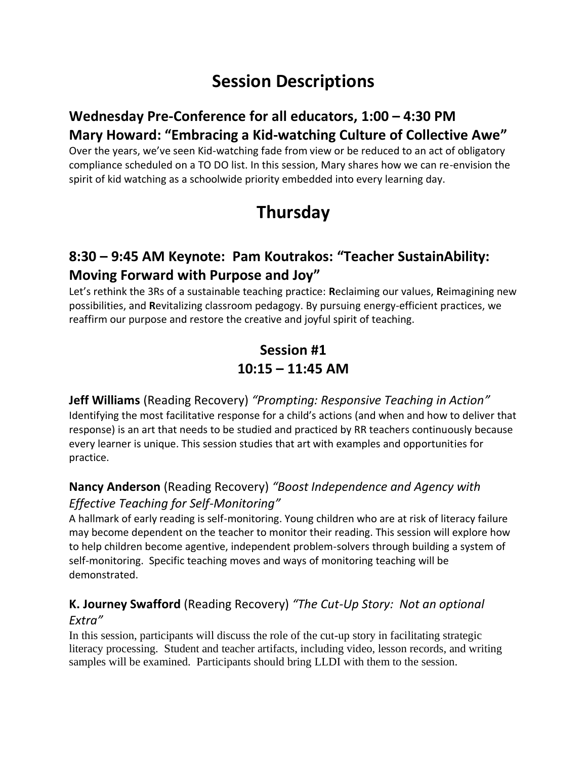# **Session Descriptions**

### **Wednesday Pre-Conference for all educators, 1:00 – 4:30 PM Mary Howard: "Embracing a Kid-watching Culture of Collective Awe"**

Over the years, we've seen Kid-watching fade from view or be reduced to an act of obligatory compliance scheduled on a TO DO list. In this session, Mary shares how we can re-envision the spirit of kid watching as a schoolwide priority embedded into every learning day.

# **Thursday**

### **8:30 – 9:45 AM Keynote: Pam Koutrakos: "Teacher SustainAbility: Moving Forward with Purpose and Joy"**

Let's rethink the 3Rs of a sustainable teaching practice: **R**eclaiming our values, **R**eimagining new possibilities, and **R**evitalizing classroom pedagogy. By pursuing energy-efficient practices, we reaffirm our purpose and restore the creative and joyful spirit of teaching.

### **Session #1 10:15 – 11:45 AM**

**Jeff Williams** (Reading Recovery) *"Prompting: Responsive Teaching in Action"* Identifying the most facilitative response for a child's actions (and when and how to deliver that response) is an art that needs to be studied and practiced by RR teachers continuously because every learner is unique. This session studies that art with examples and opportunities for practice.

### **Nancy Anderson** (Reading Recovery) *"Boost Independence and Agency with Effective Teaching for Self-Monitoring"*

A hallmark of early reading is self-monitoring. Young children who are at risk of literacy failure may become dependent on the teacher to monitor their reading. This session will explore how to help children become agentive, independent problem-solvers through building a system of self-monitoring. Specific teaching moves and ways of monitoring teaching will be demonstrated.

#### **K. Journey Swafford** (Reading Recovery) *"The Cut-Up Story: Not an optional Extra"*

In this session, participants will discuss the role of the cut-up story in facilitating strategic literacy processing. Student and teacher artifacts, including video, lesson records, and writing samples will be examined. Participants should bring LLDI with them to the session.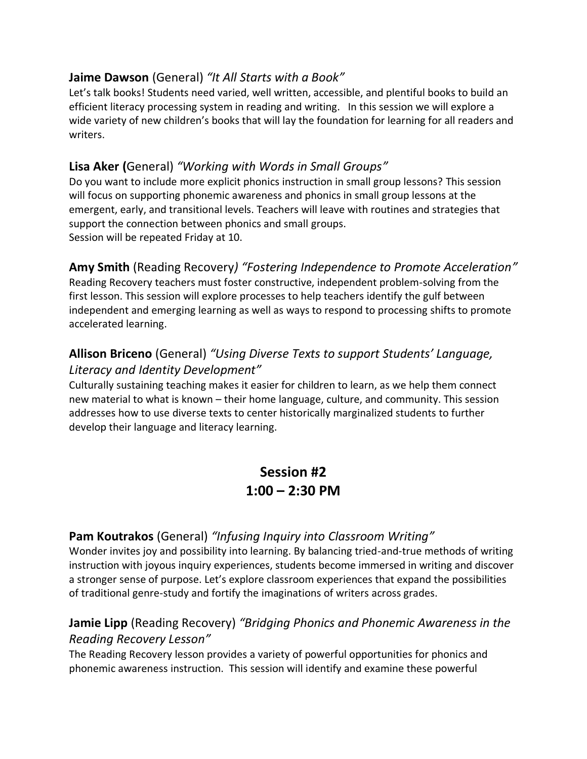#### **Jaime Dawson** (General) *"It All Starts with a Book"*

Let's talk books! Students need varied, well written, accessible, and plentiful books to build an efficient literacy processing system in reading and writing. In this session we will explore a wide variety of new children's books that will lay the foundation for learning for all readers and writers.

#### **Lisa Aker (**General) *"Working with Words in Small Groups"*

Do you want to include more explicit phonics instruction in small group lessons? This session will focus on supporting phonemic awareness and phonics in small group lessons at the emergent, early, and transitional levels. Teachers will leave with routines and strategies that support the connection between phonics and small groups. Session will be repeated Friday at 10.

#### **Amy Smith** (Reading Recovery*) "Fostering Independence to Promote Acceleration"*

Reading Recovery teachers must foster constructive, independent problem-solving from the first lesson. This session will explore processes to help teachers identify the gulf between independent and emerging learning as well as ways to respond to processing shifts to promote accelerated learning.

#### **Allison Briceno** (General) *"Using Diverse Texts to support Students' Language, Literacy and Identity Development"*

Culturally sustaining teaching makes it easier for children to learn, as we help them connect new material to what is known – their home language, culture, and community. This session addresses how to use diverse texts to center historically marginalized students to further develop their language and literacy learning.

### **Session #2 1:00 – 2:30 PM**

#### **Pam Koutrakos** (General) *"Infusing Inquiry into Classroom Writing"*

Wonder invites joy and possibility into learning. By balancing tried-and-true methods of writing instruction with joyous inquiry experiences, students become immersed in writing and discover a stronger sense of purpose. Let's explore classroom experiences that expand the possibilities of traditional genre-study and fortify the imaginations of writers across grades.

#### **Jamie Lipp** (Reading Recovery) *"Bridging Phonics and Phonemic Awareness in the Reading Recovery Lesson"*

The Reading Recovery lesson provides a variety of powerful opportunities for phonics and phonemic awareness instruction. This session will identify and examine these powerful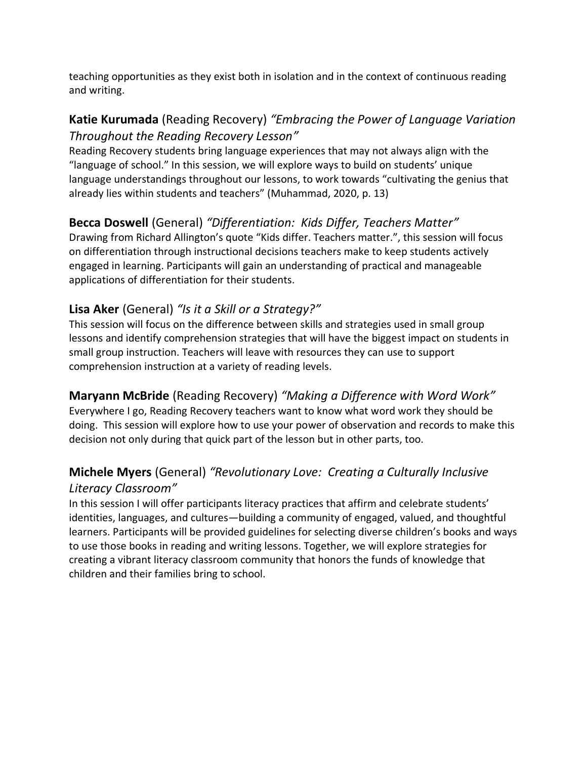teaching opportunities as they exist both in isolation and in the context of continuous reading and writing.

#### **Katie Kurumada** (Reading Recovery) *"Embracing the Power of Language Variation Throughout the Reading Recovery Lesson"*

Reading Recovery students bring language experiences that may not always align with the "language of school." In this session, we will explore ways to build on students' unique language understandings throughout our lessons, to work towards "cultivating the genius that already lies within students and teachers" (Muhammad, 2020, p. 13)

### **Becca Doswell** (General) *"Differentiation: Kids Differ, Teachers Matter"*

Drawing from Richard Allington's quote "Kids differ. Teachers matter.", this session will focus on differentiation through instructional decisions teachers make to keep students actively engaged in learning. Participants will gain an understanding of practical and manageable applications of differentiation for their students.

#### **Lisa Aker** (General) *"Is it a Skill or a Strategy?"*

This session will focus on the difference between skills and strategies used in small group lessons and identify comprehension strategies that will have the biggest impact on students in small group instruction. Teachers will leave with resources they can use to support comprehension instruction at a variety of reading levels.

#### **Maryann McBride** (Reading Recovery) *"Making a Difference with Word Work"*

Everywhere I go, Reading Recovery teachers want to know what word work they should be doing. This session will explore how to use your power of observation and records to make this decision not only during that quick part of the lesson but in other parts, too.

#### **Michele Myers** (General) *"Revolutionary Love: Creating a Culturally Inclusive Literacy Classroom"*

In this session I will offer participants literacy practices that affirm and celebrate students' identities, languages, and cultures―building a community of engaged, valued, and thoughtful learners. Participants will be provided guidelines for selecting diverse children's books and ways to use those books in reading and writing lessons. Together, we will explore strategies for creating a vibrant literacy classroom community that honors the funds of knowledge that children and their families bring to school.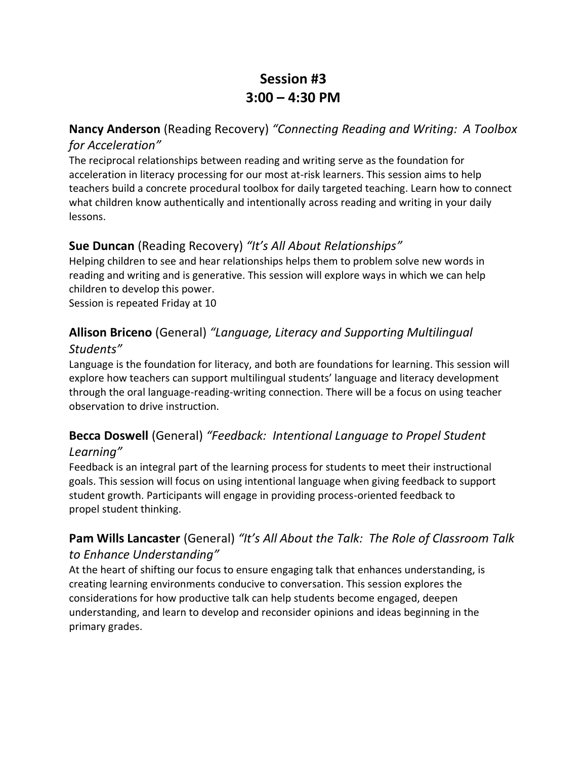## **Session #3 3:00 – 4:30 PM**

#### **Nancy Anderson** (Reading Recovery) *"Connecting Reading and Writing: A Toolbox for Acceleration"*

The reciprocal relationships between reading and writing serve as the foundation for acceleration in literacy processing for our most at-risk learners. This session aims to help teachers build a concrete procedural toolbox for daily targeted teaching. Learn how to connect what children know authentically and intentionally across reading and writing in your daily lessons.

### **Sue Duncan** (Reading Recovery) *"It's All About Relationships"*

Helping children to see and hear relationships helps them to problem solve new words in reading and writing and is generative. This session will explore ways in which we can help children to develop this power.

Session is repeated Friday at 10

### **Allison Briceno** (General) *"Language, Literacy and Supporting Multilingual Students"*

Language is the foundation for literacy, and both are foundations for learning. This session will explore how teachers can support multilingual students' language and literacy development through the oral language-reading-writing connection. There will be a focus on using teacher observation to drive instruction.

#### **Becca Doswell** (General) *"Feedback: Intentional Language to Propel Student Learning"*

Feedback is an integral part of the learning process for students to meet their instructional goals. This session will focus on using intentional language when giving feedback to support student growth. Participants will engage in providing process-oriented feedback to propel student thinking.

### **Pam Wills Lancaster** (General) *"It's All About the Talk: The Role of Classroom Talk to Enhance Understanding"*

At the heart of shifting our focus to ensure engaging talk that enhances understanding, is creating learning environments conducive to conversation. This session explores the considerations for how productive talk can help students become engaged, deepen understanding, and learn to develop and reconsider opinions and ideas beginning in the primary grades.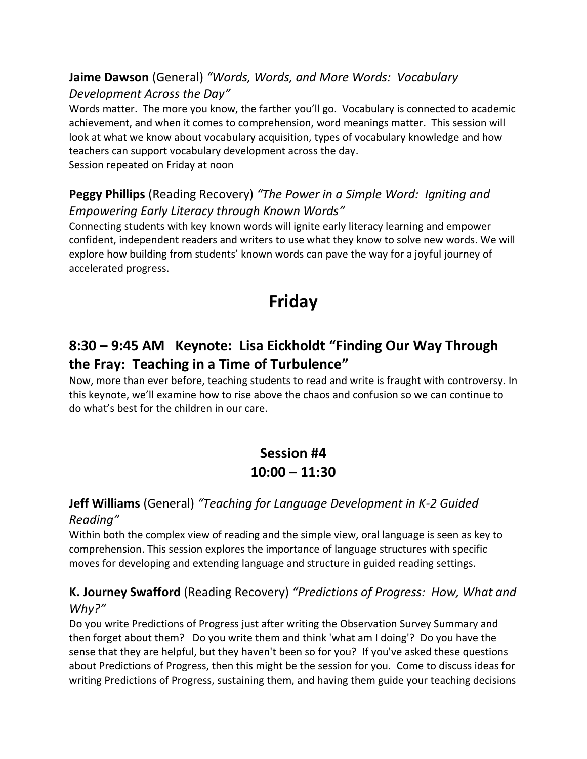#### **Jaime Dawson** (General) *"Words, Words, and More Words: Vocabulary Development Across the Day"*

Words matter. The more you know, the farther you'll go. Vocabulary is connected to academic achievement, and when it comes to comprehension, word meanings matter. This session will look at what we know about vocabulary acquisition, types of vocabulary knowledge and how teachers can support vocabulary development across the day. Session repeated on Friday at noon

#### **Peggy Phillips** (Reading Recovery) *"The Power in a Simple Word: Igniting and Empowering Early Literacy through Known Words"*

Connecting students with key known words will ignite early literacy learning and empower confident, independent readers and writers to use what they know to solve new words. We will explore how building from students' known words can pave the way for a joyful journey of accelerated progress.

# **Friday**

### **8:30 – 9:45 AM Keynote: Lisa Eickholdt "Finding Our Way Through the Fray: Teaching in a Time of Turbulence"**

Now, more than ever before, teaching students to read and write is fraught with controversy. In this keynote, we'll examine how to rise above the chaos and confusion so we can continue to do what's best for the children in our care.

## **Session #4 10:00 – 11:30**

# **Jeff Williams** (General) *"Teaching for Language Development in K-2 Guided*

#### *Reading"*

Within both the complex view of reading and the simple view, oral language is seen as key to comprehension. This session explores the importance of language structures with specific moves for developing and extending language and structure in guided reading settings.

#### **K. Journey Swafford** (Reading Recovery) *"Predictions of Progress: How, What and Why?"*

Do you write Predictions of Progress just after writing the Observation Survey Summary and then forget about them? Do you write them and think 'what am I doing'? Do you have the sense that they are helpful, but they haven't been so for you? If you've asked these questions about Predictions of Progress, then this might be the session for you. Come to discuss ideas for writing Predictions of Progress, sustaining them, and having them guide your teaching decisions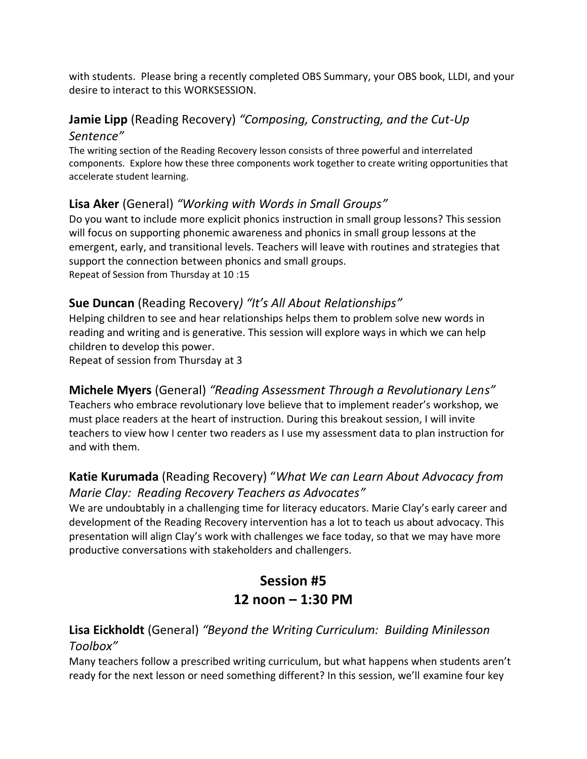with students. Please bring a recently completed OBS Summary, your OBS book, LLDI, and your desire to interact to this WORKSESSION.

### **Jamie Lipp** (Reading Recovery) *"Composing, Constructing, and the Cut-Up Sentence"*

The writing section of the Reading Recovery lesson consists of three powerful and interrelated components. Explore how these three components work together to create writing opportunities that accelerate student learning.

#### **Lisa Aker** (General) *"Working with Words in Small Groups"*

Do you want to include more explicit phonics instruction in small group lessons? This session will focus on supporting phonemic awareness and phonics in small group lessons at the emergent, early, and transitional levels. Teachers will leave with routines and strategies that support the connection between phonics and small groups. Repeat of Session from Thursday at 10 :15

#### **Sue Duncan** (Reading Recovery*) "It's All About Relationships"*

Helping children to see and hear relationships helps them to problem solve new words in reading and writing and is generative. This session will explore ways in which we can help children to develop this power.

Repeat of session from Thursday at 3

### **Michele Myers** (General) *"Reading Assessment Through a Revolutionary Lens"*

Teachers who embrace revolutionary love believe that to implement reader's workshop, we must place readers at the heart of instruction. During this breakout session, I will invite teachers to view how I center two readers as I use my assessment data to plan instruction for and with them.

### **Katie Kurumada** (Reading Recovery) "*What We can Learn About Advocacy from Marie Clay: Reading Recovery Teachers as Advocates"*

We are undoubtably in a challenging time for literacy educators. Marie Clay's early career and development of the Reading Recovery intervention has a lot to teach us about advocacy. This presentation will align Clay's work with challenges we face today, so that we may have more productive conversations with stakeholders and challengers.

# **Session #5 12 noon – 1:30 PM**

#### **Lisa Eickholdt** (General) *"Beyond the Writing Curriculum: Building Minilesson Toolbox"*

Many teachers follow a prescribed writing curriculum, but what happens when students aren't ready for the next lesson or need something different? In this session, we'll examine four key